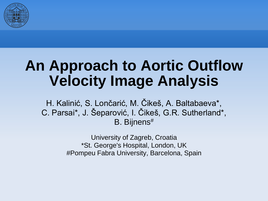

#### **An Approach to Aortic Outflow Velocity Image Analysis**

H. Kalinić, S. Lončarić, M. Čikeš, A. Baltabaeva\*, C. Parsai\*, J. Šeparović, I. Čikeš, G.R. Sutherland\*, B. Bijnens#

> University of Zagreb, Croatia \*St. George's Hospital, London, UK #Pompeu Fabra University, Barcelona, Spain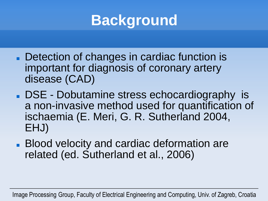

- Detection of changes in cardiac function is important for diagnosis of coronary artery disease (CAD)
- DSE Dobutamine stress echocardiography is a non-invasive method used for quantification of ischaemia (E. Meri, G. R. Sutherland 2004, EHJ)
- **Blood velocity and cardiac deformation are** related (ed. Sutherland et al., 2006)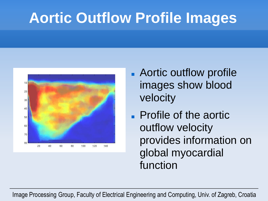# **Aortic Outflow Profile Images**



- **Aortic outflow profile** images show blood velocity
- **Profile of the aortic.** outflow velocity provides information on global myocardial function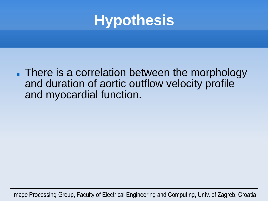

**There is a correlation between the morphology** and duration of aortic outflow velocity profile and myocardial function.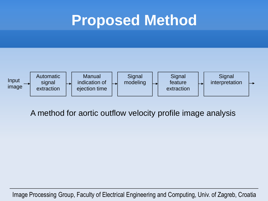#### **Proposed Method**



A method for aortic outflow velocity profile image analysis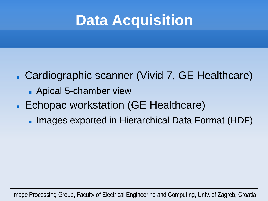## **Data Acquisition**

#### Cardiographic scanner (Vivid 7, GE Healthcare)

- **Apical 5-chamber view**
- **Echopac workstation (GE Healthcare)** 
	- **Images exported in Hierarchical Data Format (HDF)**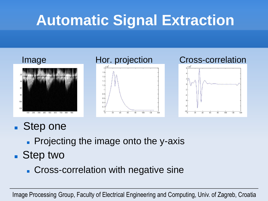# **Automatic Signal Extraction**



- Step one
	- **Projecting the image onto the y-axis**
- Step two
	- **Cross-correlation with negative sine**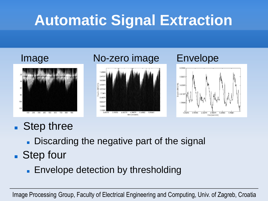# **Automatic Signal Extraction**



#### ■ Step three

- Discarding the negative part of the signal
- Step four
	- **Envelope detection by thresholding**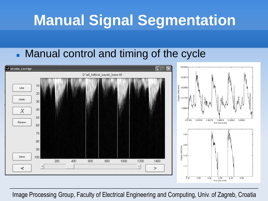## **Manual Signal Segmentation**

#### **Manual control and timing of the cycle**

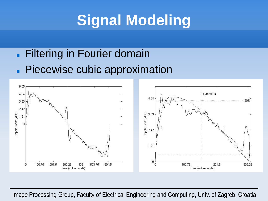# **Signal Modeling**

#### **Filtering in Fourier domain Piecewise cubic approximation**

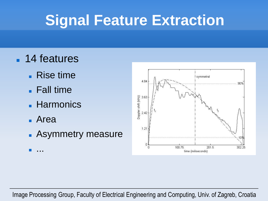## **Signal Feature Extraction**

- 14 features
	- **Rise time**
	- Fall time
	- **Harmonics**
	- Area
	- **Asymmetry measure**
	- ...

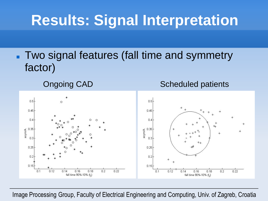## **Results: Signal Interpretation**

**Two signal features (fall time and symmetry** factor)

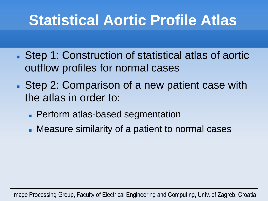## **Statistical Aortic Profile Atlas**

- Step 1: Construction of statistical atlas of aortic outflow profiles for normal cases
- Step 2: Comparison of a new patient case with the atlas in order to:
	- **Perform atlas-based segmentation**
	- **Measure similarity of a patient to normal cases**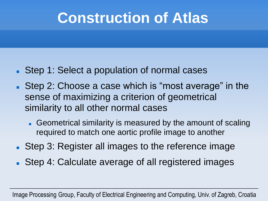### **Construction of Atlas**

- Step 1: Select a population of normal cases
- Step 2: Choose a case which is "most average" in the sense of maximizing a criterion of geometrical similarity to all other normal cases
	- Geometrical similarity is measured by the amount of scaling required to match one aortic profile image to another
- **Step 3: Register all images to the reference image**
- Step 4: Calculate average of all registered images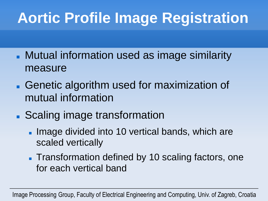# **Aortic Profile Image Registration**

- **Mutual information used as image similarity** measure
- **Genetic algorithm used for maximization of** mutual information
- Scaling image transformation
	- **Image divided into 10 vertical bands, which are** scaled vertically
	- **Transformation defined by 10 scaling factors, one** for each vertical band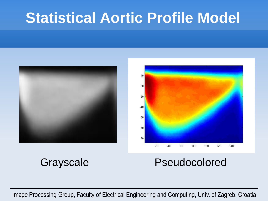#### **Statistical Aortic Profile Model**





#### Grayscale Pseudocolored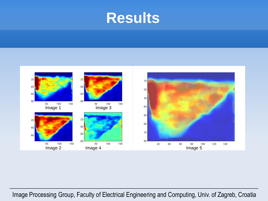#### **Results**

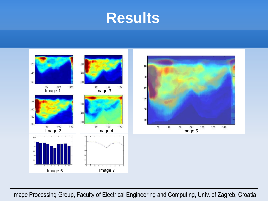#### **Results**